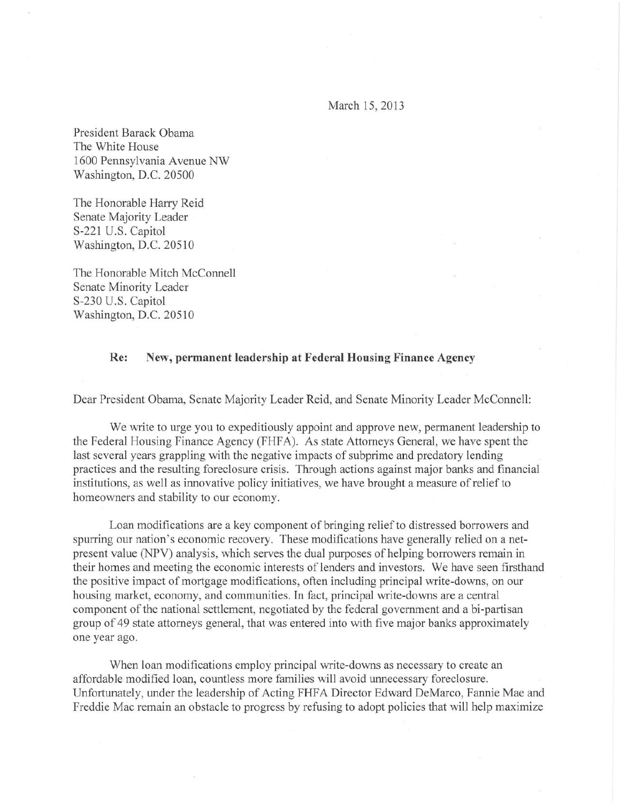March 15, 2013

President Barack Obama The White House 1600 Pennsylvania Avenue NW Washington, D.C. 20500

The Honorable Harry Reid Senate Majority Leader S-221 U.S. Capitol Washington, D.C. 20510

The Honorable Mitch McConnell Senate Minority Leader S-230 U.S. Capitol Washington, D.C. 20510

## Re: New, permanent leadership at Federal Housing Finance Agency

Dear President Obama, Senate Majority Leader Reid, and Senate Minority Leader McConnell:

We write to urge you to expeditiously appoint and approve new, permanent leadership to the Federal Housing Finance Agency (FHFA). As state Attorneys General, we have spent the last several years grappling with the negative impacts of subprime and predatory lending practices and the resulting foreclosure crisis. Through actions against major banks and financial institutions, as well as innovative policy initiatives, we have brought a measure of relief to homeowners and stability to our economy.

Loan modifications are a key component of bringing relief to distressed borrowers and spurring our nation's economic recovery. These modifications have generally relied on a netpresent value (NPV) analysis, which serves the dual purposes of helping borrowers remain in their homes and meeting the economic interests of lenders and investors. We have seen firsthand the positive impact of mortgage modifications, often including principal write-downs, on our housing market, economy, and communities. In fact, principal write-downs are a central component of the national settlement, negotiated by the federal government and a bi-partisan group of 49 state attorneys general, that was entered into with five major banks approximately one year ago.

When loan modifications employ principal write-downs as necessary to create an affordable modified loan, countless more families will avoid unnecessary foreclosure. Unfortunately, under the leadership of Acting FHFA Director Edward DeMarco, Fannie Mae and Freddie Mac remain an obstacle to progress by refusing to adopt policies that will help maximize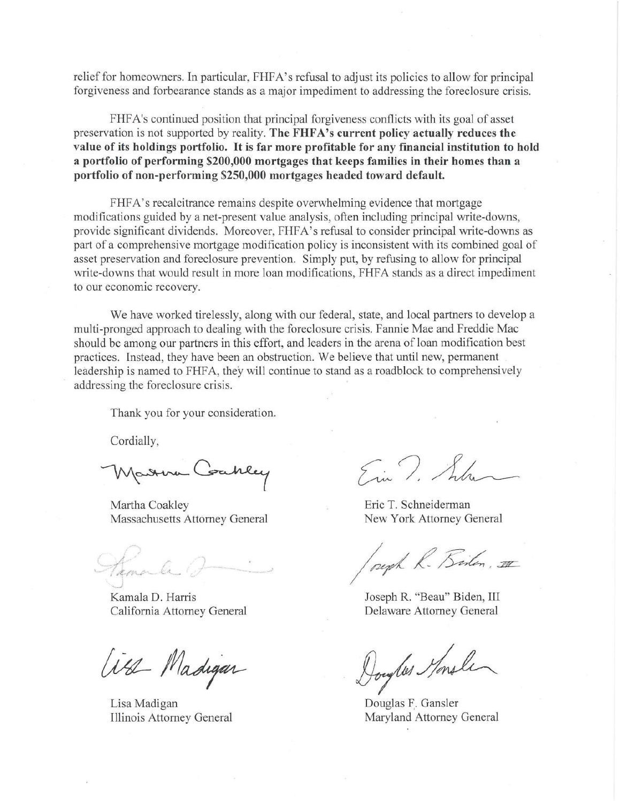relief for homeowners. In particular, FHFA's refusal to adjust its policies to allow for principal forgiveness and forbearance stands as a major impediment to addressing the foreclosure crisis.

FHFA's continued position that principal forgiveness conflicts with its goal of asset preservation is not supported by reality. **The FHFA's current policy actually reduces the value of its holdings portfolio. It is far more profitable for any fmancial institution to hold a portfolio of performing \$200,000 mortgages that keeps families in their homes than a portfolio of non-performing \$250,000 mortgages headed toward default.** 

FHFA's recalcitrance remains despite overwhelming evidence that mortgage modifications guided by a net-present value analysis, often including principal write-downs, provide significant dividends. Moreover, FHFA's refusal to consider principal write-downs as part of a comprehensive mortgage modification policy is inconsistent with its combined goal of asset preservation and foreclosure prevention. Simply put, by refusing to allow for principal write-downs that would result in more loan modifications, FHFA stands as a direct impediment to our economic recovery.

We have worked tirelessly, along with our federal, state, and local partners to develop a multi-pronged approach to dealing with the foreclosure crisis. Fannie Mae and Freddie Mac should be among our partners in this effort, and leaders in the arena of loan modification best practices. Instead, they have been an obstruction. We believe that until new, permanent leadership is named to FHFA, they will continue to stand as a roadblock to comprehensively addressing the foreclosure crisis.

Thank you for your consideration.

Cordially,

Marra Coakley

Martha Coakley **Example 2018** Eric T. Schneiderman Massachusetts Attorney General New York Attorney General

Hamale P

California Attorney General Delaware Attorney General

all Madigar

Lisa Madigan Douglas F. Gansler

Em 7. 1

Kamala D. Harris **Immartial Community** Joseph R. "Beau" Biden, III

Joseph R. Biston, 11<br>Joseph R. "Beau" Biden, III<br>Delaware Attorney General<br>Joughts Monsle

Illinois Attorney General Maryland Attorney General